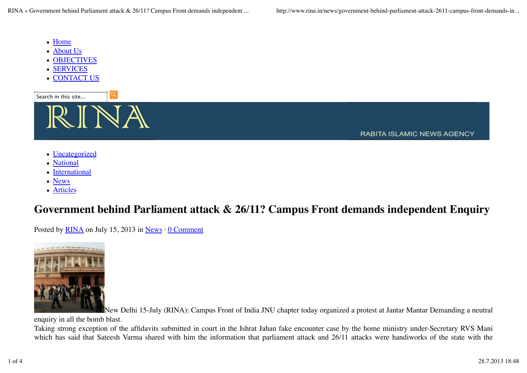RINA » Government behind Parliament attack & 26/11? Campus Front demands independent ... http://www.rina.in/news/government-behind-parliament-attack-2611-campus-front-demands-in...

- Home
- About Us
- OBJECTIVES
- SERVICES
- CONTACT US



**RABITA ISLAMIC NEWS AGENCY** 

- Uncategorized
- National
- International
- News
- Articles

## **Government behind Parliament attack & 26/11? Campus Front demands independent Enquiry**

Posted by RINA on July 15, 2013 in News  $\cdot$  0 Comment



New Delhi 15-July (RINA): Campus Front of India JNU chapter today organized a protest at Jantar Mantar Demanding a neutral

enquiry in all the bomb blast.

Taking strong exception of the affidavits submitted in court in the Ishrat Jahan fake encounter case by the home ministry under-Secretary RVS Mani which has said that Sateesh Varma shared with him the information that parliament attack and 26/11 attacks were handiworks of the state with the